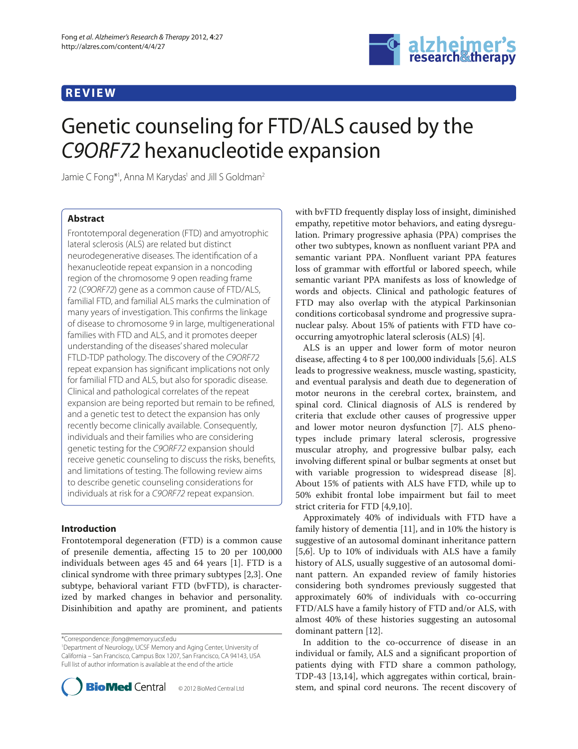## **REVIEW**



# Genetic counseling for FTD/ALS caused by the *C9ORF72* hexanucleotide expansion

Jamie C Fong\*1, Anna M Karydas<sup>1</sup> and Jill S Goldman<sup>2</sup>

## **Abstract**

Frontotemporal degeneration (FTD) and amyotrophic lateral sclerosis (ALS) are related but distinct neurodegenerative diseases. The identification of a hexanucleotide repeat expansion in a noncoding region of the chromosome 9 open reading frame 72 (*C9ORF72*) gene as a common cause of FTD/ALS, familial FTD, and familial ALS marks the culmination of many years of investigation. This confirms the linkage of disease to chromosome 9 in large, multigenerational families with FTD and ALS, and it promotes deeper understanding of the diseases' shared molecular FTLD-TDP pathology. The discovery of the *C9ORF72* repeat expansion has significant implications not only for familial FTD and ALS, but also for sporadic disease. Clinical and pathological correlates of the repeat expansion are being reported but remain to be refined, and a genetic test to detect the expansion has only recently become clinically available. Consequently, individuals and their families who are considering genetic testing for the *C9ORF72* expansion should receive genetic counseling to discuss the risks, benefits, and limitations of testing. The following review aims to describe genetic counseling considerations for individuals at risk for a *C9ORF72* repeat expansion.

## **Introduction**

Frontotemporal degeneration (FTD) is a common cause of presenile dementia, affecting 15 to 20 per 100,000 individuals between ages 45 and 64 years [1]. FTD is a clinical syndrome with three primary subtypes [2,3]. One subtype, behavioral variant FTD (bvFTD), is characterized by marked changes in behavior and personality. Disinhibition and apathy are prominent, and patients

\*Correspondence: jfong@memory.ucsf.edu

<sup>1</sup> Department of Neurology, UCSF Memory and Aging Center, University of California – San Francisco, Campus Box 1207, San Francisco, CA 94143, USA Full list of author information is available at the end of the article



with bvFTD frequently display loss of insight, diminished empathy, repetitive motor behaviors, and eating dysregulation. Primary progressive aphasia (PPA) comprises the other two subtypes, known as nonfluent variant PPA and semantic variant PPA. Nonfluent variant PPA features loss of grammar with effortful or labored speech, while semantic variant PPA manifests as loss of knowledge of words and objects. Clinical and pathologic features of FTD may also overlap with the atypical Parkinsonian conditions corticobasal syndrome and progressive supranuclear palsy. About 15% of patients with FTD have cooccurring amyotrophic lateral sclerosis (ALS) [4].

ALS is an upper and lower form of motor neuron disease, affecting 4 to 8 per 100,000 individuals [5,6]. ALS leads to progressive weakness, muscle wasting, spasticity, and eventual paralysis and death due to degeneration of motor neurons in the cerebral cortex, brainstem, and spinal cord. Clinical diagnosis of ALS is rendered by criteria that exclude other causes of progressive upper and lower motor neuron dysfunction [7]. ALS phenotypes include primary lateral sclerosis, progressive muscular atrophy, and progressive bulbar palsy, each involving different spinal or bulbar segments at onset but with variable progression to widespread disease [8]. About 15% of patients with ALS have FTD, while up to 50% exhibit frontal lobe impairment but fail to meet strict criteria for FTD [4,9,10].

Approximately 40% of individuals with FTD have a family history of dementia [11], and in 10% the history is suggestive of an autosomal dominant inheritance pattern [5,6]. Up to 10% of individuals with ALS have a family history of ALS, usually suggestive of an autosomal dominant pattern. An expanded review of family histories considering both syndromes previously suggested that approximately 60% of individuals with co-occurring FTD/ALS have a family history of FTD and/or ALS, with almost 40% of these histories suggesting an autosomal dominant pattern [12].

In addition to the co-occurrence of disease in an individual or family, ALS and a significant proportion of patients dying with FTD share a common pathology, TDP-43 [13,14], which aggregates within cortical, brainstem, and spinal cord neurons. The recent discovery of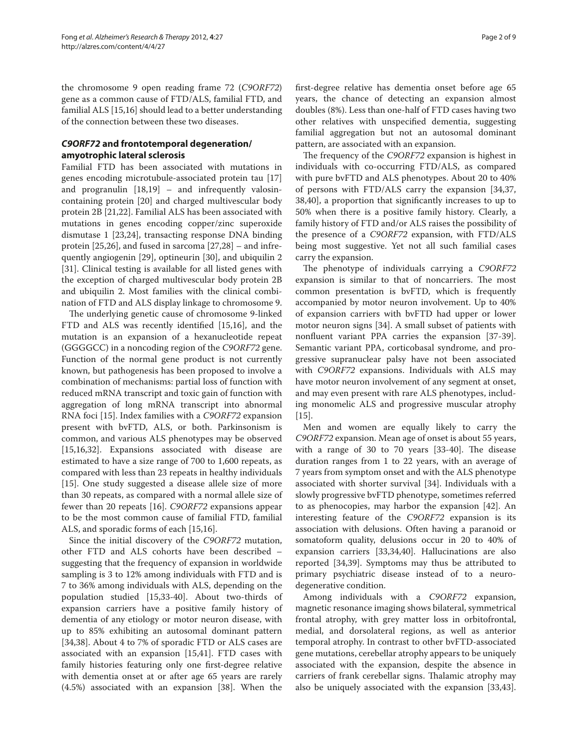the chromosome 9 open reading frame 72 (*C9ORF72*) gene as a common cause of FTD/ALS, familial FTD, and familial ALS [15,16] should lead to a better understanding of the connection between these two diseases.

## *C9ORF72* **and frontotemporal degeneration/ amyotrophic lateral sclerosis**

Familial FTD has been associated with mutations in genes encoding microtubule-associated protein tau [17] and progranulin [18,19] – and infrequently valosincontaining protein [20] and charged multivescular body protein 2B [21,22]. Familial ALS has been associated with mutations in genes encoding copper/zinc superoxide dismutase 1 [23,24], transacting response DNA binding protein [25,26], and fused in sarcoma [27,28] – and infrequently angiogenin [29], optineurin [30], and ubiquilin 2 [31]. Clinical testing is available for all listed genes with the exception of charged multivescular body protein 2B and ubiquilin 2. Most families with the clinical combination of FTD and ALS display linkage to chromosome 9.

The underlying genetic cause of chromosome 9-linked FTD and ALS was recently identified [15,16], and the mutation is an expansion of a hexanucleotide repeat (GGGGCC) in a noncoding region of the *C9ORF72* gene. Function of the normal gene product is not currently known, but pathogenesis has been proposed to involve a combination of mechanisms: partial loss of function with reduced mRNA transcript and toxic gain of function with aggregation of long mRNA transcript into abnormal RNA foci [15]. Index families with a *C9ORF72* expansion present with bvFTD, ALS, or both. Parkinsonism is common, and various ALS phenotypes may be observed [15,16,32]. Expansions associated with disease are estimated to have a size range of 700 to 1,600 repeats, as compared with less than 23 repeats in healthy individuals [15]. One study suggested a disease allele size of more than 30 repeats, as compared with a normal allele size of fewer than 20 repeats [16]. *C9ORF72* expansions appear to be the most common cause of familial FTD, familial ALS, and sporadic forms of each [15,16].

Since the initial discovery of the *C9ORF72* mutation, other FTD and ALS cohorts have been described – suggesting that the frequency of expansion in worldwide sampling is 3 to 12% among individuals with FTD and is 7 to 36% among individuals with ALS, depending on the population studied [15,33-40]. About two-thirds of expansion carriers have a positive family history of dementia of any etiology or motor neuron disease, with up to 85% exhibiting an autosomal dominant pattern [34,38]. About 4 to 7% of sporadic FTD or ALS cases are associated with an expansion [15,41]. FTD cases with family histories featuring only one first-degree relative with dementia onset at or after age 65 years are rarely (4.5%) associated with an expansion [38]. When the first-degree relative has dementia onset before age 65 years, the chance of detecting an expansion almost doubles (8%). Less than one-half of FTD cases having two other relatives with unspecified dementia, suggesting familial aggregation but not an autosomal dominant pattern, are associated with an expansion.

The frequency of the *C9ORF72* expansion is highest in individuals with co-occurring FTD/ALS, as compared with pure bvFTD and ALS phenotypes. About 20 to 40% of persons with FTD/ALS carry the expansion [34,37, 38,40], a proportion that significantly increases to up to 50% when there is a positive family history. Clearly, a family history of FTD and/or ALS raises the possibility of the presence of a *C9ORF72* expansion, with FTD/ALS being most suggestive. Yet not all such familial cases carry the expansion.

The phenotype of individuals carrying a *C9ORF72* expansion is similar to that of noncarriers. The most common presentation is bvFTD, which is frequently accompanied by motor neuron involvement. Up to 40% of expansion carriers with bvFTD had upper or lower motor neuron signs [34]. A small subset of patients with nonfluent variant PPA carries the expansion [37-39]. Semantic variant PPA, corticobasal syndrome, and progressive supranuclear palsy have not been associated with *C9ORF72* expansions. Individuals with ALS may have motor neuron involvement of any segment at onset, and may even present with rare ALS phenotypes, including monomelic ALS and progressive muscular atrophy [15].

Men and women are equally likely to carry the *C9ORF72* expansion. Mean age of onset is about 55 years, with a range of 30 to 70 years [33-40]. The disease duration ranges from 1 to 22 years, with an average of 7 years from symptom onset and with the ALS phenotype associated with shorter survival [34]. Individuals with a slowly progressive bvFTD phenotype, sometimes referred to as phenocopies, may harbor the expansion [42]. An interesting feature of the *C9ORF72* expansion is its association with delusions. Often having a paranoid or somatoform quality, delusions occur in 20 to 40% of expansion carriers [33,34,40]. Hallucinations are also reported [34,39]. Symptoms may thus be attributed to primary psychiatric disease instead of to a neurodegenerative condition.

Among individuals with a *C9ORF72* expansion, magnetic resonance imaging shows bilateral, symmetrical frontal atrophy, with grey matter loss in orbitofrontal, medial, and dorsolateral regions, as well as anterior temporal atrophy. In contrast to other bvFTD-associated gene mutations, cerebellar atrophy appears to be uniquely associated with the expansion, despite the absence in carriers of frank cerebellar signs. Thalamic atrophy may also be uniquely associated with the expansion [33,43].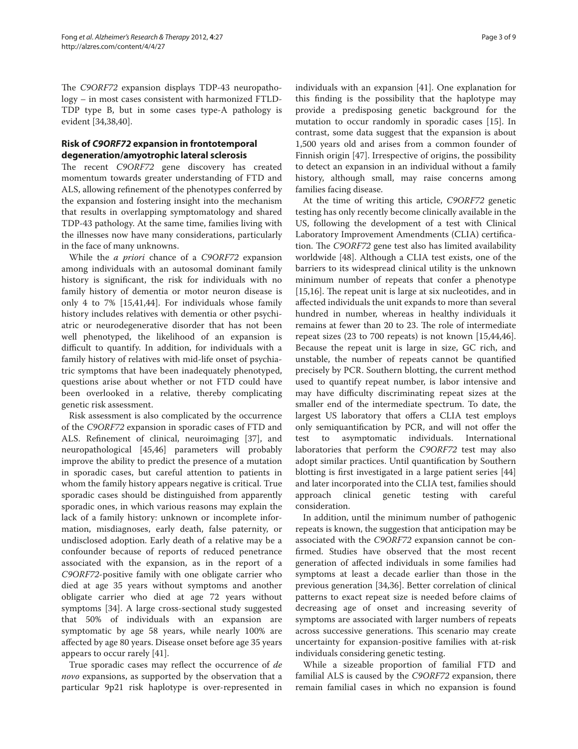The *C9ORF72* expansion displays TDP-43 neuropathology – in most cases consistent with harmonized FTLD-TDP type B, but in some cases type-A pathology is evident [34,38,40].

## **Risk of** *C9ORF72* **expansion in frontotemporal degeneration/amyotrophic lateral sclerosis**

The recent *C9ORF72* gene discovery has created momentum towards greater understanding of FTD and ALS, allowing refinement of the phenotypes conferred by the expansion and fostering insight into the mechanism that results in overlapping symptomatology and shared TDP-43 pathology. At the same time, families living with the illnesses now have many considerations, particularly in the face of many unknowns.

While the *a priori* chance of a *C9ORF72* expansion among individuals with an autosomal dominant family history is significant, the risk for individuals with no family history of dementia or motor neuron disease is only 4 to 7% [15,41,44]. For individuals whose family history includes relatives with dementia or other psychiatric or neurodegenerative disorder that has not been well phenotyped, the likelihood of an expansion is difficult to quantify. In addition, for individuals with a family history of relatives with mid-life onset of psychiatric symptoms that have been inadequately phenotyped, questions arise about whether or not FTD could have been overlooked in a relative, thereby complicating genetic risk assessment.

Risk assessment is also complicated by the occurrence of the *C9ORF72* expansion in sporadic cases of FTD and ALS. Refinement of clinical, neuroimaging [37], and neuropathological [45,46] parameters will probably improve the ability to predict the presence of a mutation in sporadic cases, but careful attention to patients in whom the family history appears negative is critical. True sporadic cases should be distinguished from apparently sporadic ones, in which various reasons may explain the lack of a family history: unknown or incomplete information, misdiagnoses, early death, false paternity, or undisclosed adoption. Early death of a relative may be a confounder because of reports of reduced penetrance associated with the expansion, as in the report of a *C9ORF72*-positive family with one obligate carrier who died at age 35 years without symptoms and another obligate carrier who died at age 72 years without symptoms [34]. A large cross-sectional study suggested that 50% of individuals with an expansion are symptomatic by age 58 years, while nearly 100% are affected by age 80 years. Disease onset before age 35 years appears to occur rarely [41].

True sporadic cases may reflect the occurrence of *de novo* expansions, as supported by the observation that a particular 9p21 risk haplotype is over-represented in individuals with an expansion [41]. One explanation for this finding is the possibility that the haplotype may provide a predisposing genetic background for the mutation to occur randomly in sporadic cases [15]. In contrast, some data suggest that the expansion is about 1,500 years old and arises from a common founder of Finnish origin [47]. Irrespective of origins, the possibility to detect an expansion in an individual without a family history, although small, may raise concerns among families facing disease.

At the time of writing this article, *C9ORF72* genetic testing has only recently become clinically available in the US, following the development of a test with Clinical Laboratory Improvement Amendments (CLIA) certification. The *C9ORF72* gene test also has limited availability worldwide [48]. Although a CLIA test exists, one of the barriers to its widespread clinical utility is the unknown minimum number of repeats that confer a phenotype [15,16]. The repeat unit is large at six nucleotides, and in affected individuals the unit expands to more than several hundred in number, whereas in healthy individuals it remains at fewer than 20 to 23. The role of intermediate repeat sizes (23 to 700 repeats) is not known [15,44,46]. Because the repeat unit is large in size, GC rich, and unstable, the number of repeats cannot be quantified precisely by PCR. Southern blotting, the current method used to quantify repeat number, is labor intensive and may have difficulty discriminating repeat sizes at the smaller end of the intermediate spectrum. To date, the largest US laboratory that offers a CLIA test employs only semiquantification by PCR, and will not offer the test to asymptomatic individuals. International laboratories that perform the *C9ORF72* test may also adopt similar practices. Until quantification by Southern blotting is first investigated in a large patient series [44] and later incorporated into the CLIA test, families should approach clinical genetic testing with careful consideration.

In addition, until the minimum number of pathogenic repeats is known, the suggestion that anticipation may be associated with the *C9ORF72* expansion cannot be confirmed. Studies have observed that the most recent generation of affected individuals in some families had symptoms at least a decade earlier than those in the previous generation [34,36]. Better correlation of clinical patterns to exact repeat size is needed before claims of decreasing age of onset and increasing severity of symptoms are associated with larger numbers of repeats across successive generations. This scenario may create uncertainty for expansion-positive families with at-risk individuals considering genetic testing.

While a sizeable proportion of familial FTD and familial ALS is caused by the *C9ORF72* expansion, there remain familial cases in which no expansion is found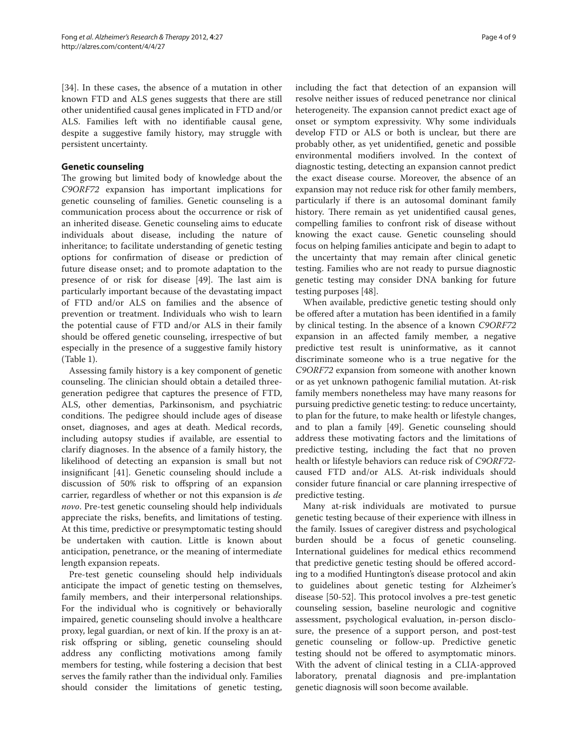[34]. In these cases, the absence of a mutation in other known FTD and ALS genes suggests that there are still other unidentified causal genes implicated in FTD and/or ALS. Families left with no identifiable causal gene, despite a suggestive family history, may struggle with persistent uncertainty.

## **Genetic counseling**

The growing but limited body of knowledge about the *C9ORF72* expansion has important implications for genetic counseling of families. Genetic counseling is a communication process about the occurrence or risk of an inherited disease. Genetic counseling aims to educate individuals about disease, including the nature of inheritance; to facilitate understanding of genetic testing options for confirmation of disease or prediction of future disease onset; and to promote adaptation to the presence of or risk for disease [49]. The last aim is particularly important because of the devastating impact of FTD and/or ALS on families and the absence of prevention or treatment. Individuals who wish to learn the potential cause of FTD and/or ALS in their family should be offered genetic counseling, irrespective of but especially in the presence of a suggestive family history (Table 1).

Assessing family history is a key component of genetic counseling. The clinician should obtain a detailed threegeneration pedigree that captures the presence of FTD, ALS, other dementias, Parkinsonism, and psychiatric conditions. The pedigree should include ages of disease onset, diagnoses, and ages at death. Medical records, including autopsy studies if available, are essential to clarify diagnoses. In the absence of a family history, the likelihood of detecting an expansion is small but not insignificant [41]. Genetic counseling should include a discussion of 50% risk to offspring of an expansion carrier, regardless of whether or not this expansion is *de novo*. Pre-test genetic counseling should help individuals appreciate the risks, benefits, and limitations of testing. At this time, predictive or presymptomatic testing should be undertaken with caution. Little is known about anticipation, penetrance, or the meaning of intermediate length expansion repeats.

Pre-test genetic counseling should help individuals anticipate the impact of genetic testing on themselves, family members, and their interpersonal relationships. For the individual who is cognitively or behaviorally impaired, genetic counseling should involve a healthcare proxy, legal guardian, or next of kin. If the proxy is an atrisk offspring or sibling, genetic counseling should address any conflicting motivations among family members for testing, while fostering a decision that best serves the family rather than the individual only. Families should consider the limitations of genetic testing, including the fact that detection of an expansion will resolve neither issues of reduced penetrance nor clinical heterogeneity. The expansion cannot predict exact age of onset or symptom expressivity. Why some individuals develop FTD or ALS or both is unclear, but there are probably other, as yet unidentified, genetic and possible environmental modifiers involved. In the context of diagnostic testing, detecting an expansion cannot predict the exact disease course. Moreover, the absence of an expansion may not reduce risk for other family members, particularly if there is an autosomal dominant family history. There remain as yet unidentified causal genes, compelling families to confront risk of disease without knowing the exact cause. Genetic counseling should focus on helping families anticipate and begin to adapt to the uncertainty that may remain after clinical genetic testing. Families who are not ready to pursue diagnostic genetic testing may consider DNA banking for future testing purposes [48].

When available, predictive genetic testing should only be offered after a mutation has been identified in a family by clinical testing. In the absence of a known *C9ORF72* expansion in an affected family member, a negative predictive test result is uninformative, as it cannot discriminate someone who is a true negative for the *C9ORF72* expansion from someone with another known or as yet unknown pathogenic familial mutation. At-risk family members nonetheless may have many reasons for pursuing predictive genetic testing: to reduce uncertainty, to plan for the future, to make health or lifestyle changes, and to plan a family [49]. Genetic counseling should address these motivating factors and the limitations of predictive testing, including the fact that no proven health or lifestyle behaviors can reduce risk of *C9ORF72*caused FTD and/or ALS. At-risk individuals should consider future financial or care planning irrespective of predictive testing.

Many at-risk individuals are motivated to pursue genetic testing because of their experience with illness in the family. Issues of caregiver distress and psychological burden should be a focus of genetic counseling. International guidelines for medical ethics recommend that predictive genetic testing should be offered according to a modified Huntington's disease protocol and akin to guidelines about genetic testing for Alzheimer's disease [50-52]. This protocol involves a pre-test genetic counseling session, baseline neurologic and cognitive assessment, psychological evaluation, in-person disclosure, the presence of a support person, and post-test genetic counseling or follow-up. Predictive genetic testing should not be offered to asymptomatic minors. With the advent of clinical testing in a CLIA-approved laboratory, prenatal diagnosis and pre-implantation genetic diagnosis will soon become available.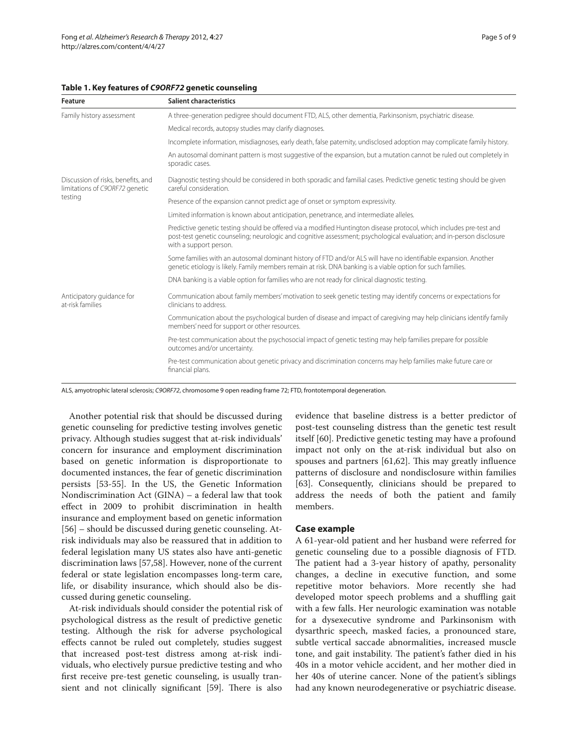#### **Table 1. Key features of** *C9ORF72* **genetic counseling**

| Feature                                                                         | <b>Salient characteristics</b>                                                                                                                                                                                                                                          |
|---------------------------------------------------------------------------------|-------------------------------------------------------------------------------------------------------------------------------------------------------------------------------------------------------------------------------------------------------------------------|
| Family history assessment                                                       | A three-generation pedigree should document FTD, ALS, other dementia, Parkinsonism, psychiatric disease.                                                                                                                                                                |
|                                                                                 | Medical records, autopsy studies may clarify diagnoses.                                                                                                                                                                                                                 |
|                                                                                 | Incomplete information, misdiagnoses, early death, false paternity, undisclosed adoption may complicate family history.                                                                                                                                                 |
|                                                                                 | An autosomal dominant pattern is most suggestive of the expansion, but a mutation cannot be ruled out completely in<br>sporadic cases.                                                                                                                                  |
| Discussion of risks, benefits, and<br>limitations of C9ORF72 genetic<br>testing | Diagnostic testing should be considered in both sporadic and familial cases. Predictive genetic testing should be given<br>careful consideration.                                                                                                                       |
|                                                                                 | Presence of the expansion cannot predict age of onset or symptom expressivity.                                                                                                                                                                                          |
|                                                                                 | Limited information is known about anticipation, penetrance, and intermediate alleles.                                                                                                                                                                                  |
|                                                                                 | Predictive genetic testing should be offered via a modified Huntington disease protocol, which includes pre-test and<br>post-test genetic counseling; neurologic and cognitive assessment; psychological evaluation; and in-person disclosure<br>with a support person. |
|                                                                                 | Some families with an autosomal dominant history of FTD and/or ALS will have no identifiable expansion. Another<br>genetic etiology is likely. Family members remain at risk. DNA banking is a viable option for such families.                                         |
|                                                                                 | DNA banking is a viable option for families who are not ready for clinical diagnostic testing.                                                                                                                                                                          |
| Anticipatory guidance for<br>at-risk families                                   | Communication about family members' motivation to seek genetic testing may identify concerns or expectations for<br>clinicians to address.                                                                                                                              |
|                                                                                 | Communication about the psychological burden of disease and impact of caregiving may help clinicians identify family<br>members' need for support or other resources.                                                                                                   |
|                                                                                 | Pre-test communication about the psychosocial impact of genetic testing may help families prepare for possible<br>outcomes and/or uncertainty.                                                                                                                          |
|                                                                                 | Pre-test communication about genetic privacy and discrimination concerns may help families make future care or<br>financial plans.                                                                                                                                      |

ALS, amyotrophic lateral sclerosis; *C9ORF72*, chromosome 9 open reading frame 72; FTD, frontotemporal degeneration.

Another potential risk that should be discussed during genetic counseling for predictive testing involves genetic privacy. Although studies suggest that at-risk individuals' concern for insurance and employment discrimination based on genetic information is disproportionate to documented instances, the fear of genetic discrimination persists [53-55]. In the US, the Genetic Information Nondiscrimination Act (GINA) – a federal law that took effect in 2009 to prohibit discrimination in health insurance and employment based on genetic information [56] – should be discussed during genetic counseling. Atrisk individuals may also be reassured that in addition to federal legislation many US states also have anti-genetic discrimination laws [57,58]. However, none of the current federal or state legislation encompasses long-term care, life, or disability insurance, which should also be discussed during genetic counseling.

At-risk individuals should consider the potential risk of psychological distress as the result of predictive genetic testing. Although the risk for adverse psychological effects cannot be ruled out completely, studies suggest that increased post-test distress among at-risk individuals, who electively pursue predictive testing and who first receive pre-test genetic counseling, is usually transient and not clinically significant [59]. There is also evidence that baseline distress is a better predictor of post-test counseling distress than the genetic test result itself [60]. Predictive genetic testing may have a profound impact not only on the at-risk individual but also on spouses and partners [61,62]. This may greatly influence patterns of disclosure and nondisclosure within families [63]. Consequently, clinicians should be prepared to address the needs of both the patient and family members.

### **Case example**

A 61-year-old patient and her husband were referred for genetic counseling due to a possible diagnosis of FTD. The patient had a 3-year history of apathy, personality changes, a decline in executive function, and some repetitive motor behaviors. More recently she had developed motor speech problems and a shuffling gait with a few falls. Her neurologic examination was notable for a dysexecutive syndrome and Parkinsonism with dysarthric speech, masked facies, a pronounced stare, subtle vertical saccade abnormalities, increased muscle tone, and gait instability. The patient's father died in his 40s in a motor vehicle accident, and her mother died in her 40s of uterine cancer. None of the patient's siblings had any known neurodegenerative or psychiatric disease.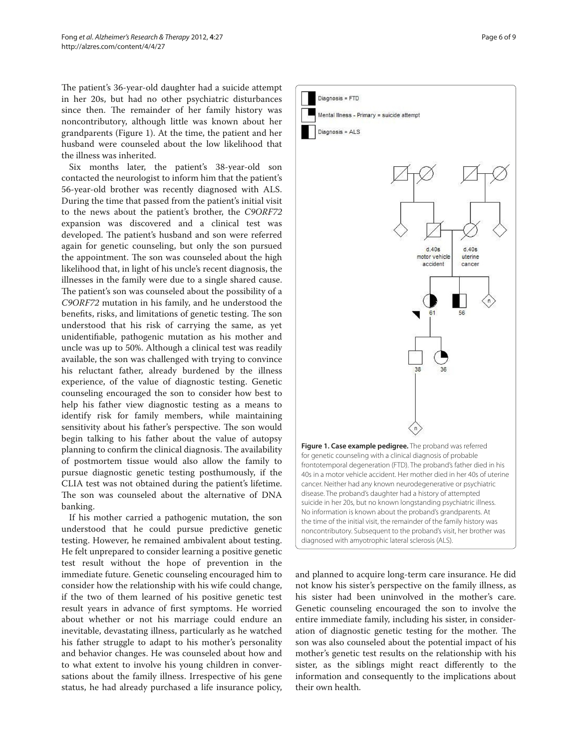The patient's 36-year-old daughter had a suicide attempt in her 20s, but had no other psychiatric disturbances since then. The remainder of her family history was noncontributory, although little was known about her grandparents (Figure 1). At the time, the patient and her husband were counseled about the low likelihood that the illness was inherited.

Six months later, the patient's 38-year-old son contacted the neurologist to inform him that the patient's 56-year-old brother was recently diagnosed with ALS. During the time that passed from the patient's initial visit to the news about the patient's brother, the *C9ORF72* expansion was discovered and a clinical test was developed. The patient's husband and son were referred again for genetic counseling, but only the son pursued the appointment. The son was counseled about the high likelihood that, in light of his uncle's recent diagnosis, the illnesses in the family were due to a single shared cause. The patient's son was counseled about the possibility of a *C9ORF72* mutation in his family, and he understood the benefits, risks, and limitations of genetic testing. The son understood that his risk of carrying the same, as yet unidentifiable, pathogenic mutation as his mother and uncle was up to 50%. Although a clinical test was readily available, the son was challenged with trying to convince his reluctant father, already burdened by the illness experience, of the value of diagnostic testing. Genetic counseling encouraged the son to consider how best to help his father view diagnostic testing as a means to identify risk for family members, while maintaining sensitivity about his father's perspective. The son would begin talking to his father about the value of autopsy planning to confirm the clinical diagnosis. The availability of postmortem tissue would also allow the family to pursue diagnostic genetic testing posthumously, if the CLIA test was not obtained during the patient's lifetime. The son was counseled about the alternative of DNA banking.

If his mother carried a pathogenic mutation, the son understood that he could pursue predictive genetic testing. However, he remained ambivalent about testing. He felt unprepared to consider learning a positive genetic test result without the hope of prevention in the immediate future. Genetic counseling encouraged him to consider how the relationship with his wife could change, if the two of them learned of his positive genetic test result years in advance of first symptoms. He worried about whether or not his marriage could endure an inevitable, devastating illness, particularly as he watched his father struggle to adapt to his mother's personality and behavior changes. He was counseled about how and to what extent to involve his young children in conversations about the family illness. Irrespective of his gene status, he had already purchased a life insurance policy,



and planned to acquire long-term care insurance. He did not know his sister's perspective on the family illness, as his sister had been uninvolved in the mother's care. Genetic counseling encouraged the son to involve the entire immediate family, including his sister, in consideration of diagnostic genetic testing for the mother. The son was also counseled about the potential impact of his mother's genetic test results on the relationship with his sister, as the siblings might react differently to the information and consequently to the implications about their own health.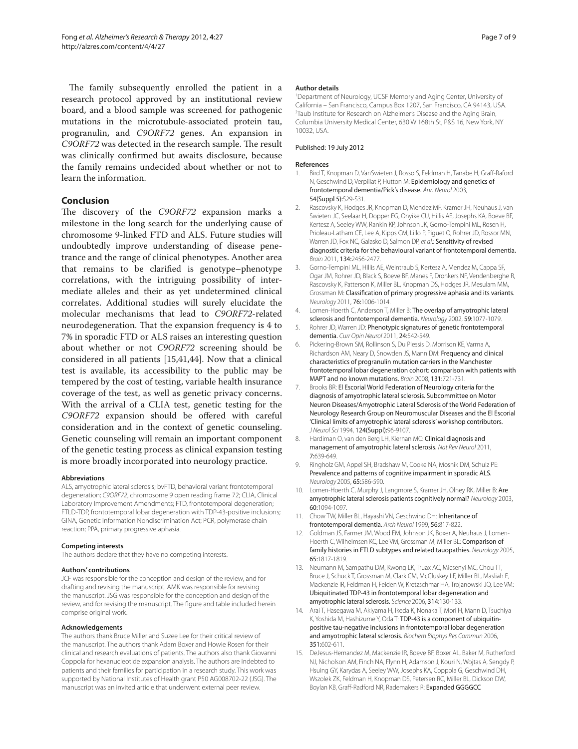The family subsequently enrolled the patient in a research protocol approved by an institutional review board, and a blood sample was screened for pathogenic mutations in the microtubule-associated protein tau, progranulin, and *C9ORF72* genes. An expansion in *C9ORF72* was detected in the research sample. The result was clinically confirmed but awaits disclosure, because the family remains undecided about whether or not to learn the information.

## **Conclusion**

The discovery of the *C9ORF72* expansion marks a milestone in the long search for the underlying cause of chromosome 9-linked FTD and ALS. Future studies will undoubtedly improve understanding of disease penetrance and the range of clinical phenotypes. Another area that remains to be clarified is genotype–phenotype correlations, with the intriguing possibility of intermediate alleles and their as yet undetermined clinical correlates. Additional studies will surely elucidate the molecular mechanisms that lead to *C9ORF72*-related neurodegeneration. That the expansion frequency is 4 to 7% in sporadic FTD or ALS raises an interesting question about whether or not *C9ORF72* screening should be considered in all patients [15,41,44]. Now that a clinical test is available, its accessibility to the public may be tempered by the cost of testing, variable health insurance coverage of the test, as well as genetic privacy concerns. With the arrival of a CLIA test, genetic testing for the *C9ORF72* expansion should be offered with careful consideration and in the context of genetic counseling. Genetic counseling will remain an important component of the genetic testing process as clinical expansion testing is more broadly incorporated into neurology practice.

#### **Abbreviations**

ALS, amyotrophic lateral sclerosis; bvFTD, behavioral variant frontotemporal degeneration; *C9ORF72*, chromosome 9 open reading frame 72; CLIA, Clinical Laboratory Improvement Amendments; FTD, frontotemporal degeneration; FTLD-TDP, frontotemporal lobar degeneration with TDP-43-positive inclusions; GINA, Genetic Information Nondiscrimination Act; PCR, polymerase chain reaction; PPA, primary progressive aphasia.

#### **Competing interests**

The authors declare that they have no competing interests.

#### **Authors' contributions**

JCF was responsible for the conception and design of the review, and for drafting and revising the manuscript. AMK was responsible for revising the manuscript. JSG was responsible for the conception and design of the review, and for revising the manuscript. The figure and table included herein comprise original work.

#### **Acknowledgements**

The authors thank Bruce Miller and Suzee Lee for their critical review of the manuscript. The authors thank Adam Boxer and Howie Rosen for their clinical and research evaluations of patients. The authors also thank Giovanni Coppola for hexanucleotide expansion analysis. The authors are indebted to patients and their families for participation in a research study. This work was supported by National Institutes of Health grant P50 AG008702-22 (JSG). The manuscript was an invited article that underwent external peer review.

#### **Author details**

1 Department of Neurology, UCSF Memory and Aging Center, University of California – San Francisco, Campus Box 1207, San Francisco, CA 94143, USA. 2 Taub Institute for Research on Alzheimer's Disease and the Aging Brain, Columbia University Medical Center, 630 W 168th St, P&S 16, New York, NY 10032, USA.

#### Published: 19 July 2012

#### **References**

- 1. Bird T, Knopman D, VanSwieten J, Rosso S, Feldman H, Tanabe H, Graff-Raford N, Geschwind D, Verpillat P, Hutton M: Epidemiology and genetics of frontotemporal dementia/Pick's disease. *Ann Neurol* 2003, 54(Suppl 5):S29-S31.
- 2. Rascovsky K, Hodges JR, Knopman D, Mendez MF, Kramer JH, Neuhaus J, van Swieten JC, Seelaar H, Dopper EG, Onyike CU, Hillis AE, Josephs KA, Boeve BF, Kertesz A, Seeley WW, Rankin KP, Johnson JK, Gorno-Tempini ML, Rosen H, Prioleau-Latham CE, Lee A, Kipps CM, Lillo P, Piguet O, Rohrer JD, Rossor MN, Warren JD, Fox NC, Galasko D, Salmon DP, *et al*.: Sensitivity of revised diagnostic criteria for the behavioural variant of frontotemporal dementia. *Brain* 2011, 134:2456-2477.
- 3. Gorno-Tempini ML, Hillis AE, Weintraub S, Kertesz A, Mendez M, Cappa SF, Ogar JM, Rohrer JD, Black S, Boeve BF, Manes F, Dronkers NF, Vendenberghe R, Rascovsky K, Patterson K, Miller BL, Knopman DS, Hodges JR, Mesulam MM, Grossman M: Classification of primary progressive aphasia and its variants. *Neurology* 2011, 76:1006-1014.
- 4. Lomen-Hoerth C, Anderson T, Miller B: The overlap of amyotrophic lateral sclerosis and frontotemporal dementia. *Neurology* 2002, 59:1077-1079.
- 5. Rohrer JD, Warren JD: Phenotypic signatures of genetic frontotemporal dementia. *Curr Opin Neurol* 2011, 24:542-549.
- 6. Pickering-Brown SM, Rollinson S, Du Plessis D, Morrison KE, Varma A, Richardson AM, Neary D, Snowden JS, Mann DM: Frequency and clinical characteristics of progranulin mutation carriers in the Manchester frontotemporal lobar degeneration cohort: comparison with patients with MAPT and no known mutations. *Brain* 2008, 131:721-731.
- 7. Brooks BR: El Escorial World Federation of Neurology criteria for the diagnosis of amyotrophic lateral sclerosis. Subcommittee on Motor Neuron Diseases/Amyotrophic Lateral Sclerosis of the World Federation of Neurology Research Group on Neuromuscular Diseases and the El Escorial 'Clinical limits of amyotrophic lateral sclerosis' workshop contributors. *J Neurol Sci* 1994, 124(Suppl):96-9107.
- 8. Hardiman O, van den Berg LH, Kiernan MC: Clinical diagnosis and management of amyotrophic lateral sclerosis. *Nat Rev Neurol* 2011, 7:639-649.
- 9. Ringholz GM, Appel SH, Bradshaw M, Cooke NA, Mosnik DM, Schulz PE: Prevalence and patterns of cognitive impairment in sporadic ALS. *Neurology* 2005, 65:586-590.
- 10. Lomen-Hoerth C, Murphy J, Langmore S, Kramer JH, Olney RK, Miller B: Are amyotrophic lateral sclerosis patients cognitively normal? *Neurology* 2003, 60:1094-1097.
- 11. Chow TW, Miller BL, Hayashi VN, Geschwind DH: Inheritance of frontotemporal dementia. *Arch Neurol* 1999, 56:817-822.
- 12. Goldman JS, Farmer JM, Wood EM, Johnson JK, Boxer A, Neuhaus J, Lomen-Hoerth C, Wilhelmsen KC, Lee VM, Grossman M, Miller BL: Comparison of family histories in FTLD subtypes and related tauopathies. *Neurology* 2005, 65:1817-1819.
- 13. Neumann M, Sampathu DM, Kwong LK, Truax AC, Micsenyi MC, Chou TT, Bruce J, Schuck T, Grossman M, Clark CM, McCluskey LF, Miller BL, Masliah E, Mackenzie IR, Feldman H, Feiden W, Kretzschmar HA, Trojanowski JQ, Lee VM: Ubiquitinated TDP-43 in frontotemporal lobar degeneration and amyotrophic lateral sclerosis. *Science* 2006, 314:130-133.
- 14. Arai T, Hasegawa M, Akiyama H, Ikeda K, Nonaka T, Mori H, Mann D, Tsuchiya K, Yoshida M, Hashizume Y, Oda T: TDP-43 is a component of ubiquitinpositive tau-negative inclusions in frontotemporal lobar degeneration and amyotrophic lateral sclerosis. *Biochem Biophys Res Commun* 2006, 351:602-611.
- 15. DeJesus-Hernandez M, Mackenzie IR, Boeve BF, Boxer AL, Baker M, Rutherford NJ, Nicholson AM, Finch NA, Flynn H, Adamson J, Kouri N, Wojtas A, Sengdy P, Hsuing GY, Karydas A, Seeley WW, Josephs KA, Coppola G, Geschwind DH, Wszolek ZK, Feldman H, Knopman DS, Petersen RC, Miller BL, Dickson DW, Boylan KB, Graff-Radford NR, Rademakers R: Expanded GGGGCC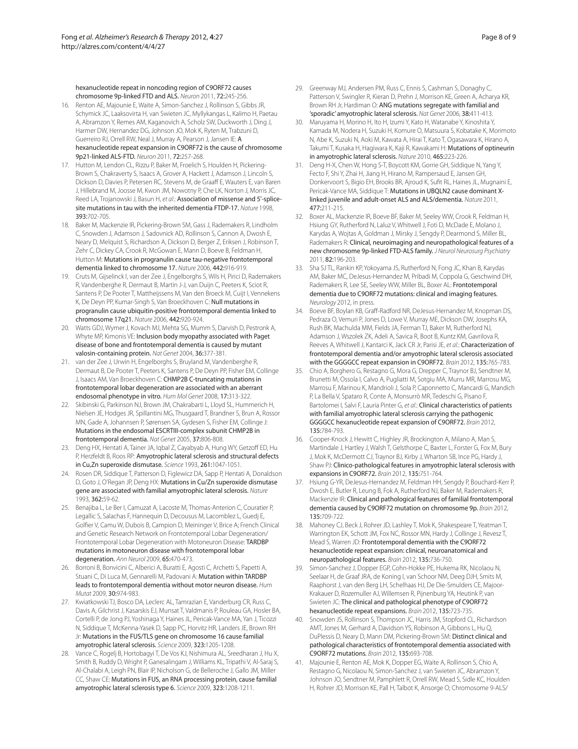#### hexanucleotide repeat in noncoding region of C9ORF72 causes chromosome 9p-linked FTD and ALS. *Neuron* 2011, 72:245-256.

- Renton AE, Majounie E, Waite A, Simon-Sanchez J, Rollinson S, Gibbs JR, Schymick JC, Laaksovirta H, van Swieten JC, Myllykangas L, Kalimo H, Paetau A, Abramzon Y, Remes AM, Kaganovich A, Scholz SW, Duckworth J, Ding J, Harmer DW, Hernandez DG, Johnson JO, Mok K, Ryten M, Trabzuni D, Guerreiro RJ, Orrell RW, Neal J, Murray A, Pearson J, Jansen IE: A hexanucleotide repeat expansion in C9ORF72 is the cause of chromosome 9p21-linked ALS-FTD. *Neuron* 2011, 72:257-268.
- 17. Hutton M, Lendon CL, Rizzu P, Baker M, Froelich S, Houlden H, Pickering-Brown S, Chakraverty S, Isaacs A, Grover A, Hackett J, Adamson J, Lincoln S, Dickson D, Davies P, Petersen RC, Stevens M, de Graaff E, Wauters E, van Baren J, Hillebrand M, Joosse M, Kwon JM, Nowotny P, Che LK, Norton J, Morris JC, Reed LA, Trojanowski J, Basun H, *et al*.: Association of missense and 5'-splicesite mutations in tau with the inherited dementia FTDP-17. *Nature* 1998, 393:702-705.
- 18. Baker M, Mackenzie IR, Pickering-Brown SM, Gass J, Rademakers R, Lindholm C, Snowden J, Adamson J, Sadovnick AD, Rollinson S, Cannon A, Dwosh E, Neary D, Melquist S, Richardson A, Dickson D, Berger Z, Eriksen J, Robinson T, Zehr C, Dickey CA, Crook R, McGowan E, Mann D, Boeve B, Feldman H, Hutton M: Mutations in progranulin cause tau-negative frontotemporal dementia linked to chromosome 17. *Nature* 2006, 442:916-919.
- 19. Cruts M, Gijselinck I, van der Zee J, Engelborghs S, Wils H, Pirici D, Rademakers R, Vandenberghe R, Dermaut B, Martin J-J, van Duijn C, Peeters K, Sciot R, Santens P, De Pooter T, Mattheijssens M, Van den Broeck M, Cuijt I, Vennekens K, De Deyn PP, Kumar-Singh S, Van Broeckhoven C: Null mutations in progranulin cause ubiquitin-positive frontotemporal dementia linked to chromosome 17q21. *Nature* 2006, 442:920-924.
- 20. Watts GDJ, Wymer J, Kovach MJ, Mehta SG, Mumm S, Darvish D, Pestronk A, Whyte MP, Kimonis VE: Inclusion body myopathy associated with Paget disease of bone and frontotemporal dementia is caused by mutant valosin-containing protein. *Nat Genet* 2004, 36:377-381.
- 21. van der Zee J, Urwin H, Engelborghs S, Bruyland M, Vandenberghe R, Dermaut B, De Pooter T, Peeters K, Santens P, De Deyn PP, Fisher EM, Collinge J, Isaacs AM, Van Broeckhoven C: CHMP2B C-truncating mutations in frontotemporal lobar degeneration are associated with an aberrant endosomal phenotype in vitro. *Hum Mol Genet* 2008, 17:313-322.
- 22. Skibinski G, Parkinson NJ, Brown JM, Chakrabarti L, Lloyd SL, Hummerich H, Nielsen JE, Hodges JR, Spillantini MG, Thusgaard T, Brandner S, Brun A, Rossor MN, Gade A, Johannsen P, Sørensen SA, Gydesen S, Fisher EM, Collinge J: Mutations in the endosomal ESCRTIII-complex subunit CHMP2B in frontotemporal dementia. *Nat Genet* 2005, 37:806-808.
- 23. Deng HX, Hentati A, Tainer JA, Iqbal Z, Cayabyab A, Hung WY, Getzoff ED, Hu P, Herzfeldt B, Roos RP: Amyotrophic lateral sclerosis and structural defects in Cu,Zn superoxide dismutase. *Science* 1993, 261:1047-1051.
- 24. Rosen DR, Siddique T, Patterson D, Figlewicz DA, Sapp P, Hentati A, Donaldson D, Goto J, O'Regan JP, Deng HX: Mutations in Cu/Zn superoxide dismutase gene are associated with familial amyotrophic lateral sclerosis. *Nature*  1993, 362:59-62
- 25. Benajiba L, Le Ber I, Camuzat A, Lacoste M, Thomas-Anterion C, Couratier P, Legallic S, Salachas F, Hannequin D, Decousus M, Lacomblez L, Guedj E, Golfier V, Camu W, Dubois B, Campion D, Meininger V, Brice A; French Clinical and Genetic Research Network on Frontotemporal Lobar Degeneration/ Frontotemporal Lobar Degeneration with Motoneuron Disease: TARDBP mutations in motoneuron disease with frontotemporal lobar degeneration. *Ann Neurol* 2009, 65:470-473.
- 26. Borroni B, Bonvicini C, Alberici A, Buratti E, Agosti C, Archetti S, Papetti A, Stuani C, Di Luca M, Gennarelli M, Padovani A: Mutation within TARDBP leads to frontotemporal dementia without motor neuron disease. *Hum Mutat* 2009, 30:974-983.
- 27. Kwiatkowski TJ, Bosco DA, Leclerc AL, Tamrazian E, Vanderburg CR, Russ C, Davis A, Gilchrist J, Kasarskis EJ, Munsat T, Valdmanis P, Rouleau GA, Hosler BA, Cortelli P, de Jong PJ, Yoshinaga Y, Haines JL, Pericak-Vance MA, Yan J, Ticozzi N, Siddique T, McKenna-Yasek D, Sapp PC, Horvitz HR, Landers JE, Brown RH Jr: Mutations in the FUS/TLS gene on chromosome 16 cause familial amyotrophic lateral sclerosis. *Science* 2009, 323:1205-1208.
- 28. Vance C, Rogelj B, Hortobagyi T, De Vos KJ, Nishimura AL, Sreedharan J, Hu X, Smith B, Ruddy D, Wright P, Ganesalingam J, Williams KL, Tripathi V, Al-Saraj S, Al-Chalabi A, Leigh PN, Blair IP, Nicholson G, de Belleroche J, Gallo JM, Miller CC, Shaw CE: Mutations in FUS, an RNA processing protein, cause familial amyotrophic lateral sclerosis type 6. *Science* 2009, 323:1208-1211.
- 29. Greenway MJ, Andersen PM, Russ C, Ennis S, Cashman S, Donaghy C, Patterson V, Swingler R, Kieran D, Prehn J, Morrison KE, Green A, Acharya KR, Brown RH Jr, Hardiman O: ANG mutations segregate with familial and 'sporadic' amyotrophic lateral sclerosis. *Nat Genet* 2006, 38:411-413.
- 30. Maruyama H, Morino H, Ito H, Izumi Y, Kato H, Watanabe Y, Kinoshita Y, Kamada M, Nodera H, Suzuki H, Komure O, Matsuura S, Kobatake K, Morimoto N, Abe K, Suzuki N, Aoki M, Kawata A, Hirai T, Kato T, Ogasawara K, Hirano A, Takumi T, Kusaka H, Hagiwara K, Kaji R, Kawakami H: Mutations of optineurin in amyotrophic lateral sclerosis. *Nature* 2010, 465:223-226.
- 31. Deng H-X, Chen W, Hong S-T, Boycott KM, Gorrie GH, Siddique N, Yang Y, Fecto F, Shi Y, Zhai H, Jiang H, Hirano M, Rampersaud E, Jansen GH, Donkervoort S, Bigio EH, Brooks BR, Ajroud K, Sufit RL, Haines JL, Mugnaini E, Pericak-Vance MA, Siddique T: Mutations in UBQLN2 cause dominant Xlinked juvenile and adult-onset ALS and ALS/dementia. *Nature* 2011, 477:211-215.
- 32. Boxer AL, Mackenzie IR, Boeve BF, Baker M, Seeley WW, Crook R, Feldman H, Hsiung GY, Rutherford N, Laluz V, Whitwell J, Foti D, McDade E, Molano J, Karydas A, Wojtas A, Goldman J, Mirsky J, Sengdy P, Dearmond S, Miller BL, Rademakers R: Clinical, neuroimaging and neuropathological features of a new chromosome 9p-linked FTD-ALS family. *J Neurol Neurosurg Psychiatry*  2011, 82:196-203.
- 33. Sha SJ TL, Rankin KP, Yokoyama JS, Rutherford N, Fong JC, Khan B, Karydas AM, Baker MC, DeJesus-Hernandez M, Pribadi M, Coppola G, Geschwind DH, Rademakers R, Lee SE, Seeley WW, Miller BL, Boxer AL: Frontotemporal dementia due to C9ORF72 mutations: clinical and imaging features. *Neurology* 2012, in press.
- 34. Boeve BF, Boylan KB, Graff-Radford NR, DeJesus-Hernandez M, Knopman DS, Pedraza O, Vemuri P, Jones D, Lowe V, Murray ME, Dickson DW, Josephs KA, Rush BK, Machulda MM, Fields JA, Ferman TJ, Baker M, Rutherford NJ, Adamson J, Wszolek ZK, Adeli A, Savica R, Boot B, Kuntz KM, Gavrilova R, Reeves A, Whitwell J, Kantarci K, Jack CR Jr, Parisi JE, *et al*.: Characterization of frontotemporal dementia and/or amyotrophic lateral sclerosis associated with the GGGGCC repeat expansion in C9ORF72. *Brain* 2012, 135:765-783.
- 35. Chio A, Borghero G, Restagno G, Mora G, Drepper C, Traynor BJ, Sendtner M, Brunetti M, Ossola I, Calvo A, Pugliatti M, Sotgiu MA, Murru MR, Marrosu MG, Marrosu F, Marinou K, Mandrioli J, Sola P, Caponnetto C, Mancardi G, Mandich P, La Bella V, Spataro R, Conte A, Monsurrò MR, Tedeschi G, Pisano F, Bartolomei I, Salvi F, Lauria Pinter G, *et al*.: Clinical characteristics of patients with familial amyotrophic lateral sclerosis carrying the pathogenic GGGGCC hexanucleotide repeat expansion of C9ORF72. *Brain* 2012, 135:784-793.
- 36. Cooper-Knock J, Hewitt C, Highley JR, Brockington A, Milano A, Man S, Martindale J, Hartley J, Walsh T, Gelsthorpe C, Baxter L, Forster G, Fox M, Bury J, Mok K, McDermott CJ, Traynor BJ, Kirby J, Wharton SB, Ince PG, Hardy J, Shaw PJ: Clinico-pathological features in amyotrophic lateral sclerosis with expansions in C9ORF72. *Brain* 2012, 135:751-764.
- 37. Hsiung G-YR, DeJesus-Hernandez M, Feldman HH, Sengdy P, Bouchard-Kerr P, Dwosh E, Butler R, Leung B, Fok A, Rutherford NJ, Baker M, Rademakers R, Mackenzie IR: Clinical and pathological features of familial frontotemporal dementia caused by C9ORF72 mutation on chromosome 9p. *Brain* 2012, 135:709-722.
- 38. Mahoney CJ, Beck J, Rohrer JD, Lashley T, Mok K, Shakespeare T, Yeatman T, Warrington EK, Schott JM, Fox NC, Rossor MN, Hardy J, Collinge J, Revesz T, Mead S, Warren JD: Frontotemporal dementia with the C9ORF72 hexanucleotide repeat expansion: clinical, neuroanatomical and neuropathological features. *Brain* 2012, 135:736-750.
- 39. Simon-Sanchez J, Dopper EGP, Cohn-Hokke PE, Hukema RK, Nicolaou N, Seelaar H, de Graaf JRA, de Koning I, van Schoor NM, Deeg DJH, Smits M, Raaphorst J, van den Berg LH, Schelhaas HJ, De Die-Smulders CE, Majoor-Krakauer D, Rozemuller AJ, Willemsen R, Pijnenburg YA, Heutink P, van Swieten JC: The clinical and pathological phenotype of C9ORF72 hexanucleotide repeat expansions. *Brain* 2012, 135:723-735.
- 40. Snowden JS, Rollinson S, Thompson JC, Harris JM, Stopford CL, Richardson AMT, Jones M, Gerhard A, Davidson YS, Robinson A, Gibbons L, Hu Q, DuPlessis D, Neary D, Mann DM, Pickering-Brown SM: Distinct clinical and pathological characteristics of frontotemporal dementia associated with C9ORF72 mutations. *Brain* 2012, 135:693-708.
- 41. Majounie E, Renton AE, Mok K, Dopper EG, Waite A, Rollinson S, Chio A, Restagno G, Nicolaou N, Simon-Sanchez J, van Swieten JC, Abramzon Y, Johnson JO, Sendtner M, Pamphlett R, Orrell RW, Mead S, Sidle KC, Houlden H, Rohrer JD, Morrison KE, Pall H, Talbot K, Ansorge O; Chromosome 9-ALS/